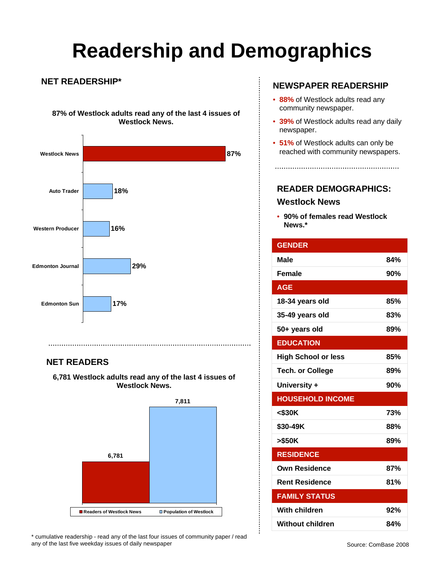# **Readership and Demographics**

#### **NET READERSHIP\***

**87% of Westlock adults read any of the last 4 issues of Westlock News.**



### **NET READERS**

**6,781 Westlock adults read any of the last 4 issues of Westlock News.** 



\* cumulative readership - read any of the last four issues of community paper / read any of the last five weekday issues of daily newspaper

### **NEWSPAPER READERSHIP**

- **88%** of Westlock adults read any community newspaper.
- **39%** of Westlock adults read any daily newspaper.
- **51%** of Westlock adults can only be reached with community newspapers.

**READER DEMOGRAPHICS:** 

### **Westlock News**

• **90% of females read Westlock News.\***

| <b>GENDER</b>              |     |
|----------------------------|-----|
| Male                       | 84% |
| <b>Female</b>              | 90% |
| <b>AGE</b>                 |     |
| 18-34 years old            | 85% |
| 35-49 years old            | 83% |
| 50+ years old              | 89% |
| <b>EDUCATION</b>           |     |
| <b>High School or less</b> | 85% |
| <b>Tech. or College</b>    | 89% |
| University +               | 90% |
| <b>HOUSEHOLD INCOME</b>    |     |
| $<$ \$30K                  | 73% |
| \$30-49K                   | 88% |
| >\$50K                     | 89% |
| <b>RESIDENCE</b>           |     |
| <b>Own Residence</b>       | 87% |
| <b>Rent Residence</b>      | 81% |
| <b>FAMILY STATUS</b>       |     |
| With children              | 92% |
| <b>Without children</b>    | 84% |

 $\vdots$